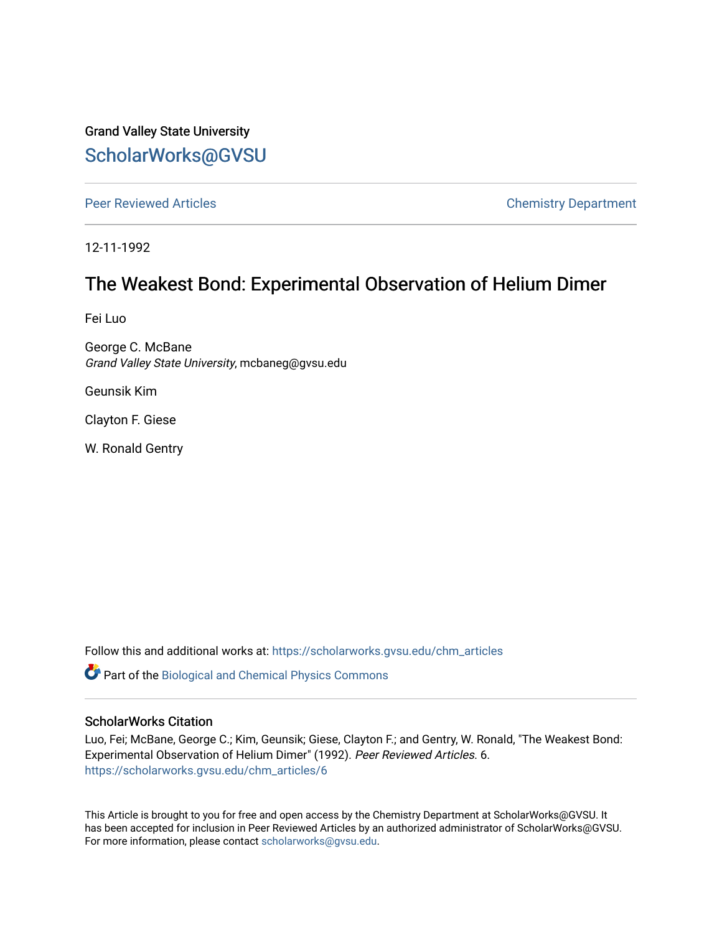Grand Valley State University [ScholarWorks@GVSU](https://scholarworks.gvsu.edu/) 

[Peer Reviewed Articles](https://scholarworks.gvsu.edu/chm_articles) **Chemistry Department** 

12-11-1992

# The Weakest Bond: Experimental Observation of Helium Dimer

Fei Luo

George C. McBane Grand Valley State University, mcbaneg@gvsu.edu

Geunsik Kim

Clayton F. Giese

W. Ronald Gentry

Follow this and additional works at: [https://scholarworks.gvsu.edu/chm\\_articles](https://scholarworks.gvsu.edu/chm_articles?utm_source=scholarworks.gvsu.edu%2Fchm_articles%2F6&utm_medium=PDF&utm_campaign=PDFCoverPages) 

**Part of the Biological and Chemical Physics Commons** 

### ScholarWorks Citation

Luo, Fei; McBane, George C.; Kim, Geunsik; Giese, Clayton F.; and Gentry, W. Ronald, "The Weakest Bond: Experimental Observation of Helium Dimer" (1992). Peer Reviewed Articles. 6. [https://scholarworks.gvsu.edu/chm\\_articles/6](https://scholarworks.gvsu.edu/chm_articles/6?utm_source=scholarworks.gvsu.edu%2Fchm_articles%2F6&utm_medium=PDF&utm_campaign=PDFCoverPages) 

This Article is brought to you for free and open access by the Chemistry Department at ScholarWorks@GVSU. It has been accepted for inclusion in Peer Reviewed Articles by an authorized administrator of ScholarWorks@GVSU. For more information, please contact [scholarworks@gvsu.edu.](mailto:scholarworks@gvsu.edu)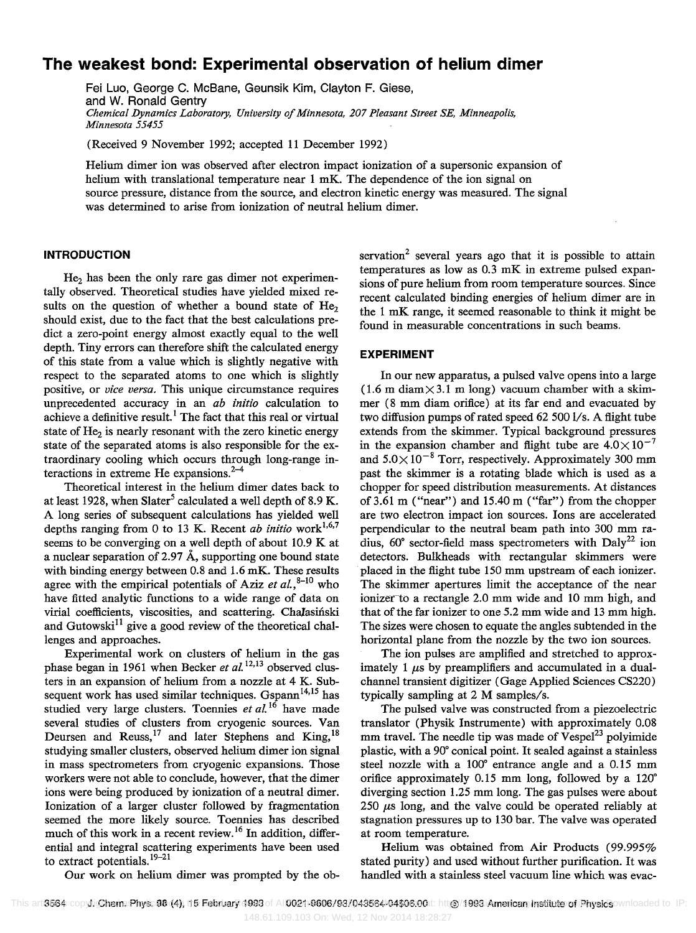## **The weakest bond: Experimental observation of helium dimer**

Fei Luo, George C. McBane, Geunsik Kim, Clayton F. Giese, and W. Ronald Gentry *Chemical Dynamics Laboratory, University of Minnesota, 207 Pleasant Street SE, Minneapolis, Minnesota 55455* 

(Received 9 November 1992; accepted 11 December 1992)

Helium dimer ion was observed after electron impact ionization of a supersonic expansion of helium with translational temperature near 1 mK. The dependence of the ion signal on source pressure, distance from the source, and electron kinetic energy was measured. The signal was determined to arise from ionization of neutral helium dimer.

#### **INTRODUCTION**

 $He<sub>2</sub>$  has been the only rare gas dimer not experimentally observed. Theoretical studies have yielded mixed results on the question of whether a bound state of  $He<sub>2</sub>$ should exist, due to the fact that the best calculations predict a zero-point energy almost exactly equal to the well depth. Tiny errors can therefore shift the calculated energy of this state from a value which is slightly negative with respect to the separated atoms to one which is slightly positive, or *vice versa.* This unique circumstance requires unprecedented accuracy in an *ab initio* calculation to achieve a definitive result.<sup>1</sup> The fact that this real or virtual state of  $He<sub>2</sub>$  is nearly resonant with the zero kinetic energy state of the separated atoms is also responsible for the extraordinary cooling which occurs through long-range interactions in extreme He expansions.<sup>2-4</sup>

Theoretical interest in the helium dimer dates back to at least 1928, when Slater<sup>5</sup> calculated a well depth of 8.9 K. A long series of subsequent calculations has yielded well depths ranging from 0 to 13 K. Recent *ab initio* work<sup>1,6,7</sup> seems to be converging on a well depth of about 10.9 K at a nuclear separation of 2.97  $\AA$ , supporting one bound state with binding energy between 0.8 and 1.6 mK. These results agree with the empirical potentials of Aziz *et al.*, $8-10$  who have fitted analytic functions to a wide range of data on virial coefficients, viscosities, and scattering. Chalasiński and Gutowski<sup>11</sup> give a good review of the theoretical challenges and approaches.

Experimental work on clusters of helium in the gas phase began in 1961 when Becker *et al.*<sup>12,13</sup> observed clusters in an expansion of helium from a nozzle at 4 K. Subsequent work has used similar techniques. Gspann<sup>14,15</sup> has studied very large clusters. Toennies *et al.* 16 have made several studies of clusters from cryogenic sources. Van Deursen and Reuss,<sup>17</sup> and later Stephens and King,<sup>18</sup> studying smaller clusters, observed helium dimer ion signal in mass spectrometers from cryogenic expansions. Those workers were not able to conclude, however, that the dimer ions were being produced by ionization of a neutral dimer. Ionization of a larger cluster followed by fragmentation seemed the more likely source. Toennies has described much of this work in a recent review. 16 In addition, differential and integral scattering experiments have been used to extract potentials.<sup>19–21</sup>

servation<sup>2</sup> several years ago that it is possible to attain temperatures as low as 0.3 mK in extreme pulsed expansions of pure helium from room temperature sources. Since recent calculated binding energies of helium dimer are in the 1 mK range, it seemed reasonable to think it might be found in measurable concentrations in such beams.

#### **EXPERIMENT**

In our new apparatus, a pulsed valve opens into a large  $(1.6 \text{ m } \text{diam} \times 3.1 \text{ m } \text{long})$  vacuum chamber with a skimmer (8 mm diam orifice) at its far end and evacuated by two diffusion pumps of rated speed 62500 1/s. A flight tube extends from the skimmer. Typical background pressures in the expansion chamber and flight tube are  $4.0\times10^{-7}$ and  $5.0 \times 10^{-8}$  Torr, respectively. Approximately 300 mm past the skimmer is a rotating blade which is used as a chopper for speed distribution measurements. At distances of 3.61 m ("near") and 15.40 m ("far") from the chopper are two electron impact ion sources. Ions are accelerated perpendicular to the neutral beam path into 300 mm radius,  $60^\circ$  sector-field mass spectrometers with Daly<sup>22</sup> ion detectors. Bulkheads with rectangular skimmers were placed in the flight tube 150 mm upstream of each ionizer. The skimmer apertures limit the acceptance of the near ionizer-to a rectangle 2.0 mm wide and 10 mm high, and that of the far ionizer to one 5.2 mm wide and 13 mm high. The sizes were chosen to equate the angles subtended in the horizontal plane from the nozzle by the two ion sources.

The ion pulses are amplified and stretched to approximately 1  $\mu$ s by preamplifiers and accumulated in a dualchannel transient digitizer (Gage Applied Sciences CS220) typically sampling at  $2$  M samples/s.

The pulsed valve was constructed from a piezoelectric translator (Physik Instrumente) with approximately 0.08 mm travel. The needle tip was made of  $Vespel<sup>23</sup>$  polyimide plastic, with a 90· conical point. It sealed against a stainless steel nozzle with a 100° entrance angle and a 0.15 mm orifice approximately 0.15 mm long, followed by a 120· diverging section 1.25 mm long. The gas pulses were about 250  $\mu$ s long, and the valve could be operated reliably at stagnation pressures up to 130 bar. The valve was operated at room temperature.

Helium was obtained from Air Products (99.995% stated purity) and used without further purification. It was handled with a stainless steel vacuum line which was evac-

Our work on helium dimer was prompted by the ob-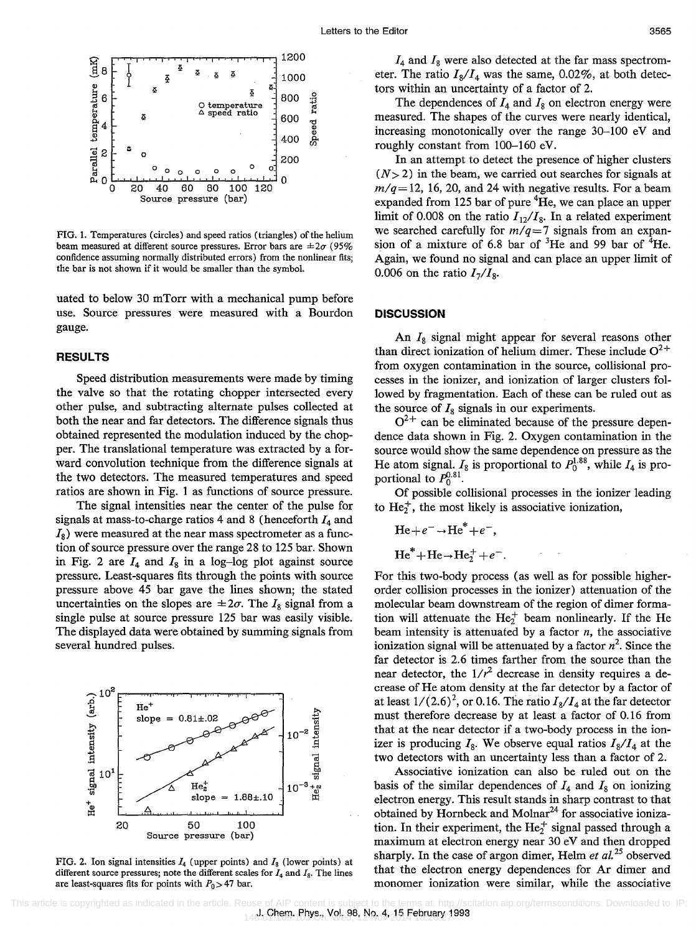

FIG. 1. Temperatures (circles) and speed ratios (triangles) of the helium beam measured at different source pressures. Error bars are  $\pm 2\sigma$  (95% confidence assuming normally distributed errors) from the nonlinear fits; the bar is not shown if it would be smaller than the symbol.

uated to below 30 mTorr with a mechanical pump before use. Source pressures were measured with a Bourdon gauge.

#### **RESULTS**

Speed distribution measurements were made by timing the valve so that the rotating chopper intersected every other pulse, and subtracting alternate pulses collected at both the near and far detectors. The difference signals thus obtained represented the modulation induced by the chopper. The translational temperature was extracted by a forward convolution technique from the difference signals at the two detectors. The measured temperatures and speed ratios are shown in Fig. 1 as functions of source pressure.

The signal intensities near the center of the pulse for signals at mass-to-charge ratios 4 and 8 (henceforth *14* and *Is)* were measured at the near mass spectrometer as a function of source pressure over the range 28 to 125 bar. Shown in Fig. 2 are  $I_4$  and  $I_8$  in a log-log plot against source pressure. Least-squares fits through the points with source pressure above 45 bar gave the lines shown; the stated uncertainties on the slopes are  $\pm 2\sigma$ . The *I<sub>s</sub>* signal from a single pulse at source pressure 125 bar was easily visible. The displayed data were obtained by summing signals from several hundred pulses.



FIG. 2. Ion signal intensities  $I_4$  (upper points) and  $I_8$  (lower points) at different source pressures; note the different scales for  $I_4$  and  $I_8$ . The lines are least-squares fits for points with  $P_0 > 47$  bar.

*14* and *Is* were also detected at the far mass spectrometer. The ratio  $I_8/I_4$  was the same, 0.02%, at both detectors within an uncertainty of a factor of 2.

The dependences of  $I_4$  and  $I_8$  on electron energy were measured. The shapes of the curves were nearly identical, increasing monotonically over the range 30-100 eV and roughly constant from 100-160 eV.

In an attempt to detect the presence of higher clusters  $(N>2)$  in the beam, we carried out searches for signals at  $m/q = 12$ , 16, 20, and 24 with negative results. For a beam expanded from 125 bar of pure  ${}^{4}$ He, we can place an upper limit of 0.008 on the ratio  $I_{12}/I_8$ . In a related experiment we searched carefully for  $m/q=7$  signals from an expansion of a mixture of 6.8 bar of  ${}^{3}$ He and 99 bar of  ${}^{4}$ He. Again, we found no signal and can place an upper limit of 0.006 on the ratio  $I_7/I_8$ .

#### **DISCUSSION**

An  $I_8$  signal might appear for several reasons other than direct ionization of helium dimer. These include  $O^{2+}$ from oxygen contamination in the source, collisional processes in the ionizer, and ionization of larger clusters followed by fragmentation. Each of these can be ruled out as the source of  $I_8$  signals in our experiments.

 $O^{2+}$  can be eliminated because of the pressure dependence data shown in Fig. 2. Oxygen contamination in the source would show the same dependence on pressure as the He atom signal.  $I_8$  is proportional to  $P_0^{1.88}$ , while  $I_4$  is proportional to  $P_0^{0.81}$ .

Of possible collisional processes in the ionizer leading to  $He<sub>2</sub><sup>+</sup>$ , the most likely is associative ionization,

$$
\text{He} + e^- \rightarrow \text{He}^* + e^-,
$$

$$
\text{He}^* + \text{He} \rightarrow \text{He}_2^+ + e^-.
$$

For this two-body process (as well as for possible higherorder collision processes in the ionizer) attenuation of the molecular beam downstream of the region of dimer formation will attenuate the  $He<sub>2</sub><sup>+</sup>$  beam nonlinearly. If the He beam intensity is attenuated by a factor *n,* the associative ionization signal will be attenuated by a factor  $n^2$ . Since the far detector is 2.6 times farther from the source than the near detector, the  $1/r^2$  decrease in density requires a decrease of He atom density at the far detector by a factor of at least  $1/(2.6)^2$ , or 0.16. The ratio  $I_8/I_4$  at the far detector must therefore decrease by at least a factor of 0.16 from that at the near detector if a two-body process in the ionizer is producing  $I_8$ . We observe equal ratios  $I_8/I_4$  at the two detectors with an uncertainty less than a factor of 2.

Associative ionization can also be ruled out on the basis of the similar dependences of  $I_4$  and  $I_8$  on ionizing electron energy. This result stands in sharp contrast to that obtained by Hornbeck and Molnar<sup>24</sup> for associative ionization. In their experiment, the He<sub>2</sub><sup>+</sup> signal passed through a maximum at electron energy near 30 eV and then dropped sharply. In the case of argon dimer, Helm *et al.* 25 observed that the electron energy dependences for Ar dimer and monomer ionization were similar, while the associative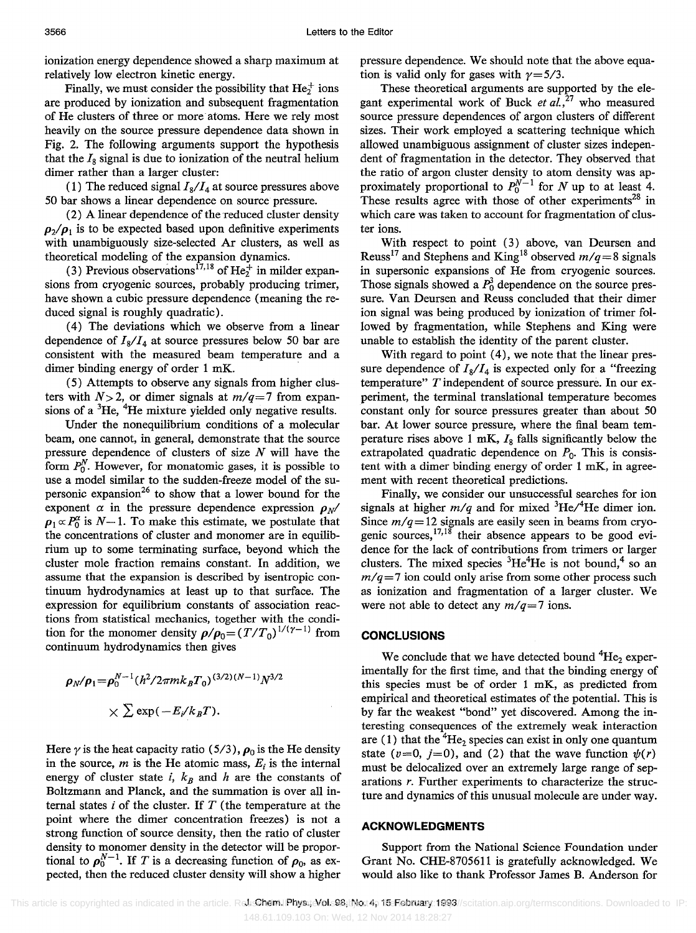ionization energy dependence showed a sharp maximum at relatively low electron kinetic energy.

Finally, we must consider the possibility that  $He<sub>2</sub><sup>+</sup>$  ions are produced by ionization and subsequent fragmentation of He clusters of three or more atoms. Here we rely most heavily on the source pressure dependence data shown in Fig. 2. The following arguments support the hypothesis that the  $I_8$  signal is due to ionization of the neutral helium dimer rather than a larger cluster:

(1) The reduced signal  $I_8/I_4$  at source pressures above 50 bar shows a linear dependence on source pressure.

(2) A linear dependence of the Teduced cluster density  $\rho_2/\rho_1$  is to be expected based upon definitive experiments with unambiguously size-selected Ar clusters, as well as theoretical modeling of the expansion dynamics.

(3) Previous observations<sup>17,18</sup> of He<sub>2</sub><sup>+</sup> in milder expansions from cryogenic sources, probably producing trimer, have shown a cubic pressure dependence (meaning the reduced signal is roughly quadratic).

( 4) The deviations which we observe from a linear dependence of  $I_8/I_4$  at source pressures below 50 bar are consistent with the measured beam temperature and a dimer binding energy of order 1 mK. .

(5) Attempts to observe any signals from higher clusters with  $N>2$ , or dimer signals at  $m/q=7$  from expansions of a  ${}^{3}$ He,  ${}^{4}$ He mixture yielded only negative results.

Under the nonequilibrium conditions of a molecular beam, one cannot, in general, demonstrate that the source pressure dependence of clusters of size  $N$  will have the form  $P_0^N$ . However, for monatomic gases, it is possible to use a model similar to the sudden-freeze model of the supersonic expansion<sup>26</sup> to show that a lower bound for the exponent  $\alpha$  in the pressure dependence expression  $\rho_N$  $\rho_1 \propto P_0^{\alpha}$  is  $N - 1$ . To make this estimate, we postulate that the concentrations of cluster and monomer are in equilibrium up to some terminating surface, beyond which the cluster mole fraction remains constant. In addition, we assume that the expansion is described by isentropic continuum hydrodynamics at least up to that surface. The expression for equilibrium constants of association reactions from statistical mechanics, together with the condition for the monomer density  $\rho/\rho_0 = (T/T_0)^{1/(\gamma - 1)}$  from continuum hydrodynamics then gives

$$
\rho_N/\rho_1 = \rho_0^{N-1} (h^2/2\pi mk_B T_0)^{(3/2)(N-1)} N^{3/2}
$$
  
\$\times \sum \exp(-E\_i/k\_B T).

Here  $\gamma$  is the heat capacity ratio (5/3),  $\rho_0$  is the He density in the source,  $m$  is the He atomic mass,  $E_i$  is the internal energy of cluster state *i*,  $k_B$  and *h* are the constants of Boltzmann and Planck, and the summation is over all internal states  $i$  of the cluster. If  $T$  (the temperature at the point where the dimer concentration freezes) is not a strong function of source density, then the ratio of cluster density to monomer density in the detector will be proportional to  $\rho_0^{N-1}$ . If *T* is a decreasing function of  $\rho_0$ , as expected, then the reduced cluster density will show a higher pressure dependence. We should note that the above equation is valid only for gases with  $\gamma = 5/3$ .

These theoretical arguments are supported by the elegant experimental work of Buck *et al.*, $^{27}$  who measured source pressure dependences of argon clusters of different sizes. Their work employed a scattering technique which allowed unambiguous assignment of cluster sizes independent of fragmentation in the detector. They observed that the ratio of argon cluster density to atom density was approximately proportional to  $P_0^{N-1}$  for N up to at least 4. These results agree with those of other experiments<sup>28</sup> in which care was taken to account for fragmentation of cluster ions.

With respect to point (3) above, van Deursen and Reuss<sup>17</sup> and Stephens and King<sup>18</sup> observed  $m/q=8$  signals in supersonic expansions of He from cryogenic sources. Those signals showed a  $P_0^3$  dependence on the source pressure. Van Deursen and Reuss concluded that their dimer ion signal was being produced by ionization of trimer followed by fragmentation, while Stephens and King were unable to establish the identity of the parent cluster.

With regard to point (4), we note that the linear pressure dependence of  $I_8/I_4$  is expected only for a "freezing" temperature" T independent of source pressure. In our experiment, the terminal translational temperature becomes constant only for source pressures greater than about 50 bar. At lower source pressure, where the final beam temperature rises above 1 mK,  $I_8$  falls significantly below the extrapolated quadratic dependence on  $P_0$ . This is consistent with a dimer binding energy of order 1 mK, in agreement with recent theoretical predictions.

Finally, we consider our unsuccessful searches for ion signals at higher  $m/q$  and for mixed <sup>3</sup>He/<sup>4</sup>He dimer ion. Since  $m/q = 12$  signals are easily seen in beams from cryogenic sources, $17,18$  their absence appears to be good evidence for the lack of contributions from trimers or larger clusters. The mixed species  ${}^{3}He^{4}He$  is not bound,<sup>4</sup> so an  $m/q=7$  ion could only arise from some other process such as ionization and fragmentation of a larger cluster. We were not able to detect any  $m/q=7$  ions.

#### **CONCLUSIONS**

We conclude that we have detected bound  ${}^{4}He_{2}$  experimentally for the first time, and that the binding energy of this species must be of order 1 mK, as predicted from empirical and theoretical estimates of the potential. This is by far the weakest "bond" yet discovered. Among the interesting consequences of the extremely weak interaction are (1) that the  ${}^{4}He_2$  species can exist in only one quantum state ( $v=0$ ,  $j=0$ ), and (2) that the wave function  $\psi(r)$ must be delocalized over an extremely large range of separations r. Further experiments to characterize the structure and dynamics of this unusual molecule are under way.

#### **ACKNOWLEDGMENTS**

Support from the National Science Foundation under Grant No. CHE-8705611 is gratefully acknowledged. We would also like to thank Professor James B. Anderson for